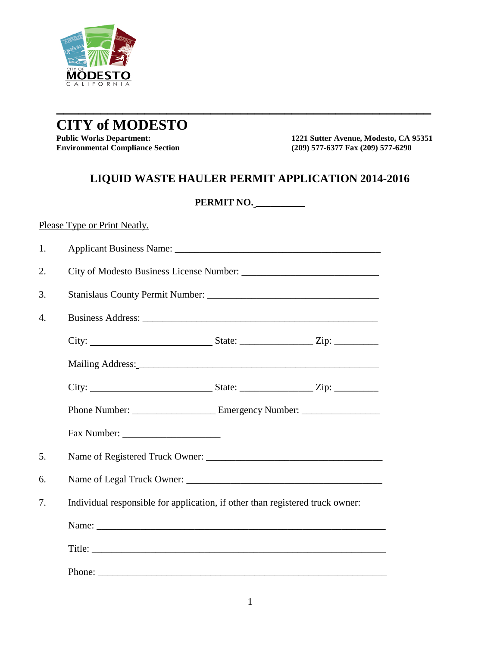

## **CITY of MODESTO**

**Environmental Compliance Section** 

**1221 Sutter Avenue, Modesto, CA 95351**<br>(209) 577-6377 Fax (209) 577-6290

## **LIQUID WASTE HAULER PERMIT APPLICATION 2014-2016**

**\_\_\_\_\_\_\_\_\_\_\_\_\_\_\_\_\_\_\_\_\_\_\_\_\_\_\_\_\_\_\_\_\_\_\_\_\_\_\_\_\_\_\_\_\_\_\_\_\_\_\_**

|    |                                                                               | PERMIT NO. |  |  |  |  |  |
|----|-------------------------------------------------------------------------------|------------|--|--|--|--|--|
|    | Please Type or Print Neatly.                                                  |            |  |  |  |  |  |
| 1. |                                                                               |            |  |  |  |  |  |
| 2. |                                                                               |            |  |  |  |  |  |
| 3. |                                                                               |            |  |  |  |  |  |
| 4. |                                                                               |            |  |  |  |  |  |
|    |                                                                               |            |  |  |  |  |  |
|    |                                                                               |            |  |  |  |  |  |
|    |                                                                               |            |  |  |  |  |  |
|    |                                                                               |            |  |  |  |  |  |
|    |                                                                               |            |  |  |  |  |  |
| 5. |                                                                               |            |  |  |  |  |  |
| 6. |                                                                               |            |  |  |  |  |  |
| 7. | Individual responsible for application, if other than registered truck owner: |            |  |  |  |  |  |
|    |                                                                               |            |  |  |  |  |  |
|    |                                                                               |            |  |  |  |  |  |
|    |                                                                               |            |  |  |  |  |  |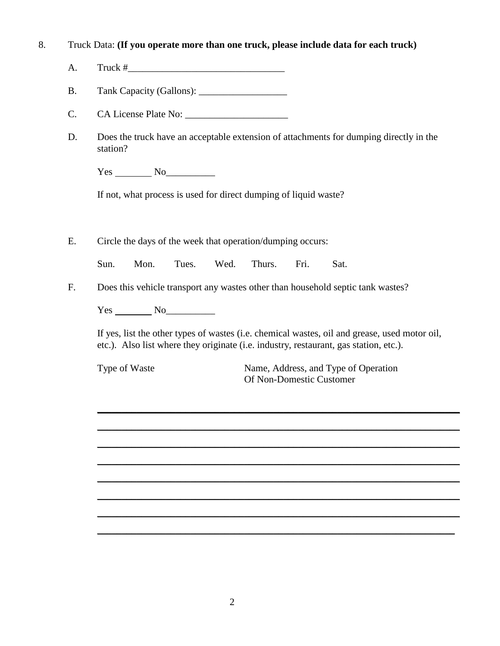## 8. Truck Data: **(If you operate more than one truck, please include data for each truck)**

- A. Truck  $#$
- B. Tank Capacity (Gallons): \_\_\_\_\_\_\_\_\_\_\_\_\_\_\_\_\_\_
- C. CA License Plate No: \_\_\_\_\_\_\_\_\_\_\_\_\_\_\_\_\_\_\_\_\_
- D. Does the truck have an acceptable extension of attachments for dumping directly in the station?

Yes No

If not, what process is used for direct dumping of liquid waste?

E. Circle the days of the week that operation/dumping occurs:

Sun. Mon. Tues. Wed. Thurs. Fri. Sat.

F. Does this vehicle transport any wastes other than household septic tank wastes?

Yes No<sub>le</sub>

If yes, list the other types of wastes (i.e. chemical wastes, oil and grease, used motor oil, etc.). Also list where they originate (i.e. industry, restaurant, gas station, etc.).

\_\_\_\_\_\_\_\_\_\_\_\_\_\_\_\_\_\_\_\_\_\_\_\_\_\_\_\_\_\_\_\_\_\_\_\_\_\_\_\_\_\_\_\_\_\_\_\_\_\_\_\_\_\_\_\_\_\_\_\_\_\_\_\_\_\_\_\_\_\_\_\_\_\_

\_\_\_\_\_\_\_\_\_\_\_\_\_\_\_\_\_\_\_\_\_\_\_\_\_\_\_\_\_\_\_\_\_\_\_\_\_\_\_\_\_\_\_\_\_\_\_\_\_\_\_\_\_\_\_\_\_\_\_\_\_\_\_\_\_\_\_\_\_\_\_\_\_\_

\_\_\_\_\_\_\_\_\_\_\_\_\_\_\_\_\_\_\_\_\_\_\_\_\_\_\_\_\_\_\_\_\_\_\_\_\_\_\_\_\_\_\_\_\_\_\_\_\_\_\_\_\_\_\_\_\_\_\_\_\_\_\_\_\_\_\_\_\_\_\_\_\_\_

\_\_\_\_\_\_\_\_\_\_\_\_\_\_\_\_\_\_\_\_\_\_\_\_\_\_\_\_\_\_\_\_\_\_\_\_\_\_\_\_\_\_\_\_\_\_\_\_\_\_\_\_\_\_\_\_\_\_\_\_\_\_\_\_\_\_\_\_\_\_\_\_\_\_

\_\_\_\_\_\_\_\_\_\_\_\_\_\_\_\_\_\_\_\_\_\_\_\_\_\_\_\_\_\_\_\_\_\_\_\_\_\_\_\_\_\_\_\_\_\_\_\_\_\_\_\_\_\_\_\_\_\_\_\_\_\_\_\_\_\_\_\_\_\_\_\_\_\_

\_\_\_\_\_\_\_\_\_\_\_\_\_\_\_\_\_\_\_\_\_\_\_\_\_\_\_\_\_\_\_\_\_\_\_\_\_\_\_\_\_\_\_\_\_\_\_\_\_\_\_\_\_\_\_\_\_\_\_\_\_\_\_\_\_\_\_\_\_\_\_\_\_\_

\_\_\_\_\_\_\_\_\_\_\_\_\_\_\_\_\_\_\_\_\_\_\_\_\_\_\_\_\_\_\_\_\_\_\_\_\_\_\_\_\_\_\_\_\_\_\_\_\_\_\_\_\_\_\_\_\_\_\_\_\_\_\_\_\_\_\_\_\_\_\_\_\_\_

\_\_\_\_\_\_\_\_\_\_\_\_\_\_\_\_\_\_\_\_\_\_\_\_\_\_\_\_\_\_\_\_\_\_\_\_\_\_\_\_\_\_\_\_\_\_\_\_\_\_\_\_\_\_\_\_\_\_\_\_\_\_\_\_\_\_\_\_\_\_\_\_\_

Type of Waste Name, Address, and Type of Operation Of Non-Domestic Customer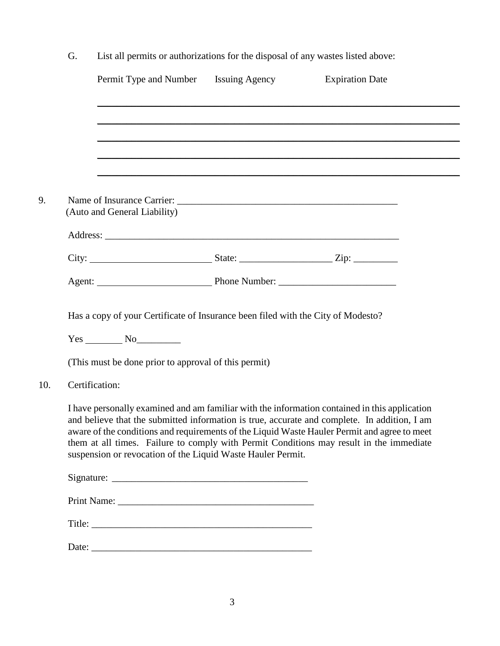| G.             | List all permits or authorizations for the disposal of any wastes listed above:                                                                           |                                                                                                                                                                                                                                                                                                                                                                                          |
|----------------|-----------------------------------------------------------------------------------------------------------------------------------------------------------|------------------------------------------------------------------------------------------------------------------------------------------------------------------------------------------------------------------------------------------------------------------------------------------------------------------------------------------------------------------------------------------|
|                | Permit Type and Number Issuing Agency                                                                                                                     | <b>Expiration Date</b>                                                                                                                                                                                                                                                                                                                                                                   |
|                |                                                                                                                                                           |                                                                                                                                                                                                                                                                                                                                                                                          |
|                |                                                                                                                                                           |                                                                                                                                                                                                                                                                                                                                                                                          |
|                | (Auto and General Liability)                                                                                                                              |                                                                                                                                                                                                                                                                                                                                                                                          |
|                |                                                                                                                                                           |                                                                                                                                                                                                                                                                                                                                                                                          |
|                |                                                                                                                                                           |                                                                                                                                                                                                                                                                                                                                                                                          |
|                |                                                                                                                                                           |                                                                                                                                                                                                                                                                                                                                                                                          |
|                | Has a copy of your Certificate of Insurance been filed with the City of Modesto?<br>$Yes$ No $No$<br>(This must be done prior to approval of this permit) |                                                                                                                                                                                                                                                                                                                                                                                          |
| Certification: |                                                                                                                                                           |                                                                                                                                                                                                                                                                                                                                                                                          |
|                | suspension or revocation of the Liquid Waste Hauler Permit.                                                                                               | I have personally examined and am familiar with the information contained in this application<br>and believe that the submitted information is true, accurate and complete. In addition, I am<br>aware of the conditions and requirements of the Liquid Waste Hauler Permit and agree to meet<br>them at all times. Failure to comply with Permit Conditions may result in the immediate |
|                |                                                                                                                                                           |                                                                                                                                                                                                                                                                                                                                                                                          |
|                |                                                                                                                                                           |                                                                                                                                                                                                                                                                                                                                                                                          |
|                |                                                                                                                                                           |                                                                                                                                                                                                                                                                                                                                                                                          |
|                |                                                                                                                                                           |                                                                                                                                                                                                                                                                                                                                                                                          |